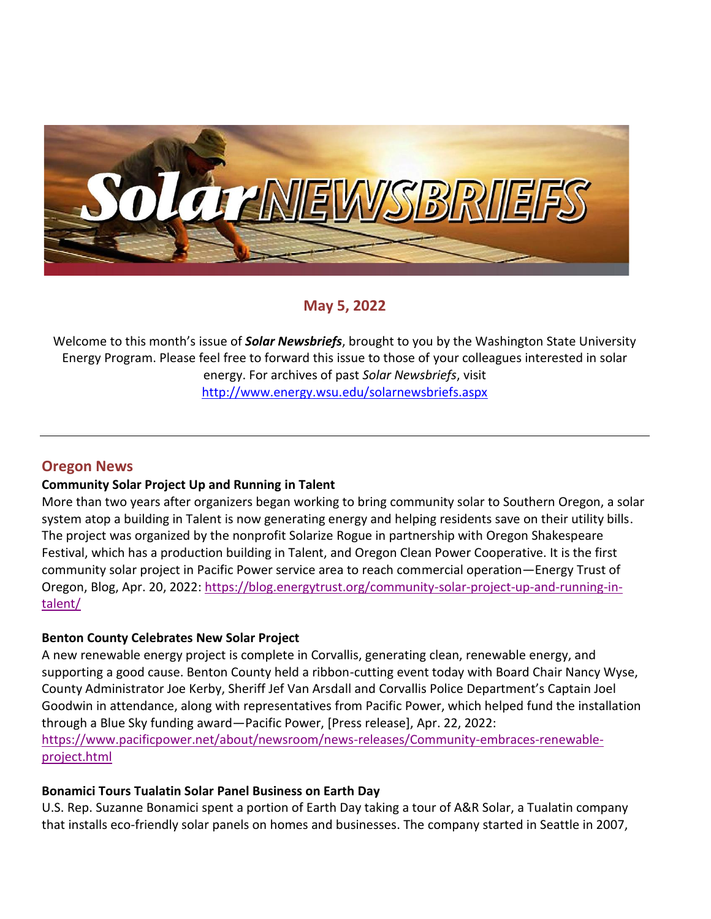

**May 5, 2022**

Welcome to this month's issue of *Solar Newsbriefs*, brought to you by the Washington State University Energy Program. Please feel free to forward this issue to those of your colleagues interested in solar energy. For archives of past *Solar Newsbriefs*, visit <http://www.energy.wsu.edu/solarnewsbriefs.aspx>

# **Oregon News**

### **Community Solar Project Up and Running in Talent**

More than two years after organizers began working to bring community solar to Southern Oregon, a solar system atop a building in Talent is now generating energy and helping residents save on their utility bills. The project was organized by the nonprofit Solarize Rogue in partnership with Oregon Shakespeare Festival, which has a production building in Talent, and Oregon Clean Power Cooperative. It is the first community solar project in Pacific Power service area to reach commercial operation—Energy Trust of Oregon, Blog, Apr. 20, 2022: [https://blog.energytrust.org/community-solar-project-up-and-running-in](https://blog.energytrust.org/community-solar-project-up-and-running-in-talent/)[talent/](https://blog.energytrust.org/community-solar-project-up-and-running-in-talent/)

### **Benton County Celebrates New Solar Project**

A new renewable energy project is complete in Corvallis, generating clean, renewable energy, and supporting a good cause. Benton County held a ribbon-cutting event today with Board Chair Nancy Wyse, County Administrator Joe Kerby, Sheriff Jef Van Arsdall and Corvallis Police Department's Captain Joel Goodwin in attendance, along with representatives from Pacific Power, which helped fund the installation through a Blue Sky funding award—Pacific Power, [Press release], Apr. 22, 2022: [https://www.pacificpower.net/about/newsroom/news-releases/Community-embraces-renewable](https://www.pacificpower.net/about/newsroom/news-releases/Community-embraces-renewable-project.html)[project.html](https://www.pacificpower.net/about/newsroom/news-releases/Community-embraces-renewable-project.html)

### **Bonamici Tours Tualatin Solar Panel Business on Earth Day**

U.S. Rep. Suzanne Bonamici spent a portion of Earth Day taking a tour of A&R Solar, a Tualatin company that installs eco-friendly solar panels on homes and businesses. The company started in Seattle in 2007,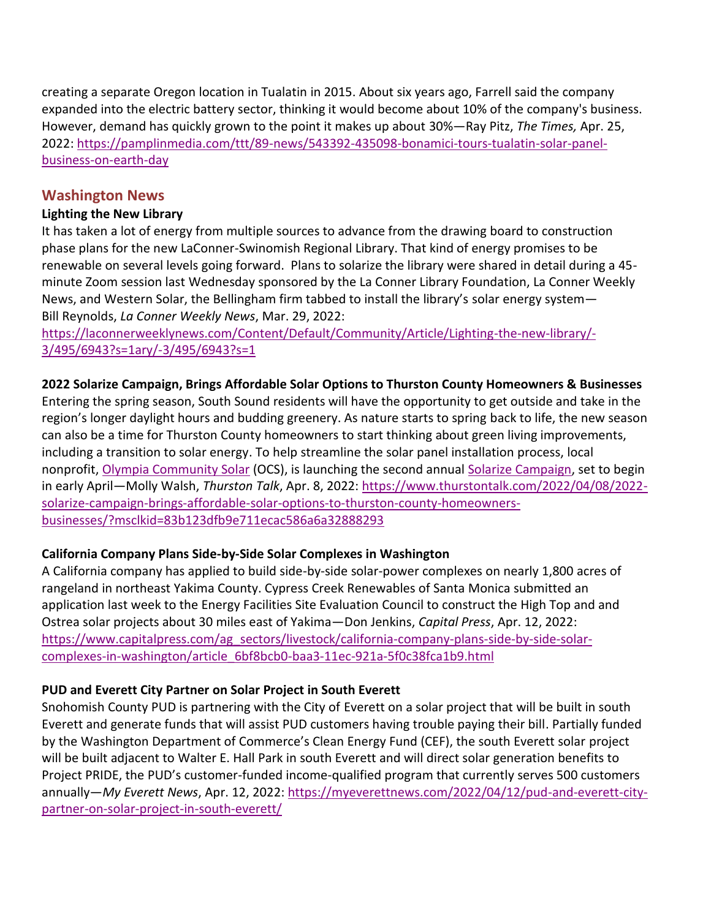creating a separate Oregon location in Tualatin in 2015. About six years ago, Farrell said the company expanded into the electric battery sector, thinking it would become about 10% of the company's business. However, demand has quickly grown to the point it makes up about 30%—Ray Pitz, *The Times,* Apr. 25, 2022: [https://pamplinmedia.com/ttt/89-news/543392-435098-bonamici-tours-tualatin-solar-panel](https://pamplinmedia.com/ttt/89-news/543392-435098-bonamici-tours-tualatin-solar-panel-business-on-earth-day)[business-on-earth-day](https://pamplinmedia.com/ttt/89-news/543392-435098-bonamici-tours-tualatin-solar-panel-business-on-earth-day)

# **Washington News**

# **Lighting the New Library**

It has taken a lot of energy from multiple sources to advance from the drawing board to construction phase plans for the new LaConner-Swinomish Regional Library. That kind of energy promises to be renewable on several levels going forward. Plans to solarize the library were shared in detail during a 45 minute Zoom session last Wednesday sponsored by the La Conner Library Foundation, La Conner Weekly News, and Western Solar, the Bellingham firm tabbed to install the library's solar energy system— Bill Reynolds, *La Conner Weekly News*, Mar. 29, 2022:

[https://laconnerweeklynews.com/Content/Default/Community/Article/Lighting-the-new-library/-](https://laconnerweeklynews.com/Content/Default/Community/Article/Lighting-the-new-library/-3/495/6943?s=1ary/-3/495/6943?s=1) [3/495/6943?s=1ary/-3/495/6943?s=1](https://laconnerweeklynews.com/Content/Default/Community/Article/Lighting-the-new-library/-3/495/6943?s=1ary/-3/495/6943?s=1)

### **2022 Solarize Campaign, Brings Affordable Solar Options to Thurston County Homeowners & Businesses**

Entering the spring season, South Sound residents will have the opportunity to get outside and take in the region's longer daylight hours and budding greenery. As nature starts to spring back to life, the new season can also be a time for Thurston County homeowners to start thinking about green living improvements, including a transition to solar energy. To help streamline the solar panel installation process, local nonprofit, [Olympia Community Solar](https://olysol.org/) (OCS), is launching the second annual [Solarize Campaign,](https://olysol.org/solarize/) set to begin in early April—Molly Walsh, *Thurston Talk*, Apr. 8, 2022[: https://www.thurstontalk.com/2022/04/08/2022](https://www.thurstontalk.com/2022/04/08/2022-solarize-campaign-brings-affordable-solar-options-to-thurston-county-homeowners-businesses/?msclkid=83b123dfb9e711ecac586a6a32888293) [solarize-campaign-brings-affordable-solar-options-to-thurston-county-homeowners](https://www.thurstontalk.com/2022/04/08/2022-solarize-campaign-brings-affordable-solar-options-to-thurston-county-homeowners-businesses/?msclkid=83b123dfb9e711ecac586a6a32888293)[businesses/?msclkid=83b123dfb9e711ecac586a6a32888293](https://www.thurstontalk.com/2022/04/08/2022-solarize-campaign-brings-affordable-solar-options-to-thurston-county-homeowners-businesses/?msclkid=83b123dfb9e711ecac586a6a32888293)

# **California Company Plans Side-by-Side Solar Complexes in Washington**

A California company has applied to build side-by-side solar-power complexes on nearly 1,800 acres of rangeland in northeast Yakima County. Cypress Creek Renewables of Santa Monica submitted an application last week to the Energy Facilities Site Evaluation Council to construct the High Top and and Ostrea solar projects about 30 miles east of Yakima—Don Jenkins, *Capital Press*, Apr. 12, 2022: [https://www.capitalpress.com/ag\\_sectors/livestock/california-company-plans-side-by-side-solar](https://www.capitalpress.com/ag_sectors/livestock/california-company-plans-side-by-side-solar-complexes-in-washington/article_6bf8bcb0-baa3-11ec-921a-5f0c38fca1b9.html)[complexes-in-washington/article\\_6bf8bcb0-baa3-11ec-921a-5f0c38fca1b9.html](https://www.capitalpress.com/ag_sectors/livestock/california-company-plans-side-by-side-solar-complexes-in-washington/article_6bf8bcb0-baa3-11ec-921a-5f0c38fca1b9.html)

# **PUD and Everett City Partner on Solar Project in South Everett**

Snohomish County PUD is partnering with the City of Everett on a solar project that will be built in south Everett and generate funds that will assist PUD customers having trouble paying their bill. Partially funded by the Washington Department of Commerce's Clean Energy Fund (CEF), the south Everett solar project will be built adjacent to Walter E. Hall Park in south Everett and will direct solar generation benefits to Project PRIDE, the PUD's customer-funded income-qualified program that currently serves 500 customers annually—*My Everett News*, Apr. 12, 2022: [https://myeverettnews.com/2022/04/12/pud-and-everett-city](https://myeverettnews.com/2022/04/12/pud-and-everett-city-partner-on-solar-project-in-south-everett/)[partner-on-solar-project-in-south-everett/](https://myeverettnews.com/2022/04/12/pud-and-everett-city-partner-on-solar-project-in-south-everett/)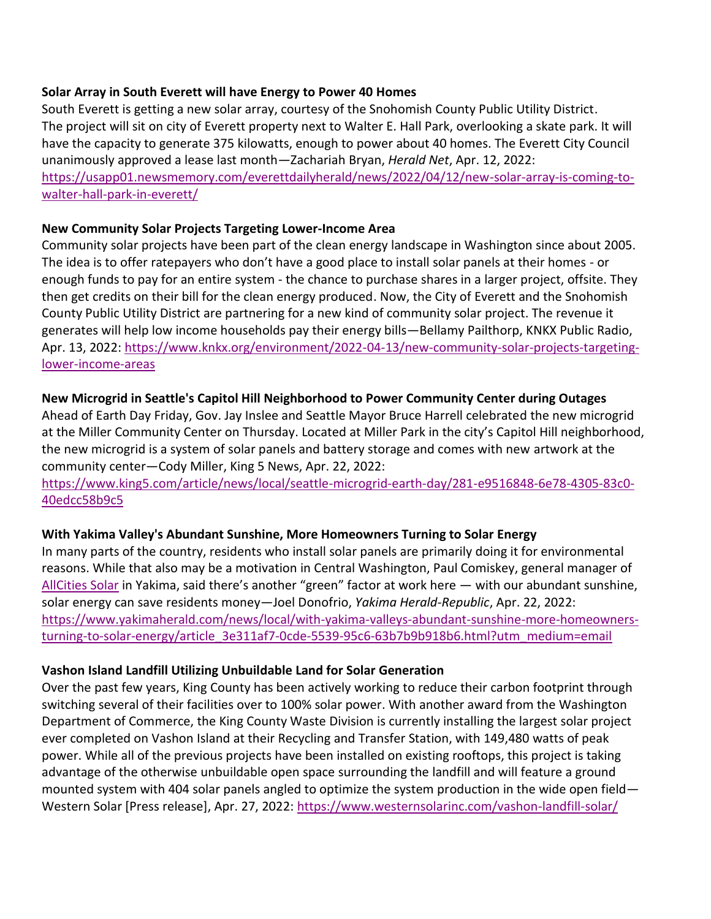#### **Solar Array in South Everett will have Energy to Power 40 Homes**

South Everett is getting a new solar array, courtesy of the Snohomish County Public Utility District. The project will sit on city of Everett property next to Walter E. Hall Park, overlooking a skate park. It will have the capacity to generate 375 kilowatts, enough to power about 40 homes. The Everett City Council unanimously approved a lease last month—Zachariah Bryan, *Herald Net*, Apr. 12, 2022: [https://usapp01.newsmemory.com/everettdailyherald/news/2022/04/12/new-solar-array-is-coming-to](https://usapp01.newsmemory.com/everettdailyherald/news/2022/04/12/new-solar-array-is-coming-to-walter-hall-park-in-everett/)[walter-hall-park-in-everett/](https://usapp01.newsmemory.com/everettdailyherald/news/2022/04/12/new-solar-array-is-coming-to-walter-hall-park-in-everett/)

### **New Community Solar Projects Targeting Lower-Income Area**

Community solar projects have been part of the clean energy landscape in Washington since about 2005. The idea is to offer ratepayers who don't have a good place to install solar panels at their homes - or enough funds to pay for an entire system - the chance to purchase shares in a larger project, offsite. They then get credits on their bill for the clean energy produced. Now, the City of Everett and the Snohomish County Public Utility District are partnering for a new kind of community solar project. The revenue it generates will help low income households pay their energy bills—Bellamy Pailthorp, KNKX Public Radio, Apr. 13, 2022: [https://www.knkx.org/environment/2022-04-13/new-community-solar-projects-targeting](https://www.knkx.org/environment/2022-04-13/new-community-solar-projects-targeting-lower-income-areas)[lower-income-areas](https://www.knkx.org/environment/2022-04-13/new-community-solar-projects-targeting-lower-income-areas)

### **New Microgrid in Seattle's Capitol Hill Neighborhood to Power Community Center during Outages**

Ahead of Earth Day Friday, Gov. Jay Inslee and Seattle Mayor Bruce Harrell celebrated the new microgrid at the Miller Community Center on Thursday. Located at Miller Park in the city's Capitol Hill neighborhood, the new microgrid is a system of solar panels and battery storage and comes with new artwork at the community center—Cody Miller, King 5 News, Apr. 22, 2022:

[https://www.king5.com/article/news/local/seattle-microgrid-earth-day/281-e9516848-6e78-4305-83c0-](https://www.king5.com/article/news/local/seattle-microgrid-earth-day/281-e9516848-6e78-4305-83c0-40edcc58b9c5) [40edcc58b9c5](https://www.king5.com/article/news/local/seattle-microgrid-earth-day/281-e9516848-6e78-4305-83c0-40edcc58b9c5)

### **With Yakima Valley's Abundant Sunshine, More Homeowners Turning to Solar Energy**

In many parts of the country, residents who install solar panels are primarily doing it for environmental reasons. While that also may be a motivation in Central Washington, Paul Comiskey, general manager of [AllCities Solar](http://allcities.solar/residential-solar) in Yakima, said there's another "green" factor at work here — with our abundant sunshine, solar energy can save residents money—Joel Donofrio, *Yakima Herald-Republic*, Apr. 22, 2022: [https://www.yakimaherald.com/news/local/with-yakima-valleys-abundant-sunshine-more-homeowners](https://www.yakimaherald.com/news/local/with-yakima-valleys-abundant-sunshine-more-homeowners-turning-to-solar-energy/article_3e311af7-0cde-5539-95c6-63b7b9b918b6.html?utm_medium=email)[turning-to-solar-energy/article\\_3e311af7-0cde-5539-95c6-63b7b9b918b6.html?utm\\_medium=email](https://www.yakimaherald.com/news/local/with-yakima-valleys-abundant-sunshine-more-homeowners-turning-to-solar-energy/article_3e311af7-0cde-5539-95c6-63b7b9b918b6.html?utm_medium=email)

### **Vashon Island Landfill Utilizing Unbuildable Land for Solar Generation**

Over the past few years, King County has been actively working to reduce their carbon footprint through switching several of their facilities over to 100% solar power. With another award from the Washington Department of Commerce, the King County Waste Division is currently installing the largest solar project ever completed on Vashon Island at their Recycling and Transfer Station, with 149,480 watts of peak power. While all of the previous projects have been installed on existing rooftops, this project is taking advantage of the otherwise unbuildable open space surrounding the landfill and will feature a ground mounted system with 404 solar panels angled to optimize the system production in the wide open field Western Solar [Press release], Apr. 27, 2022:<https://www.westernsolarinc.com/vashon-landfill-solar/>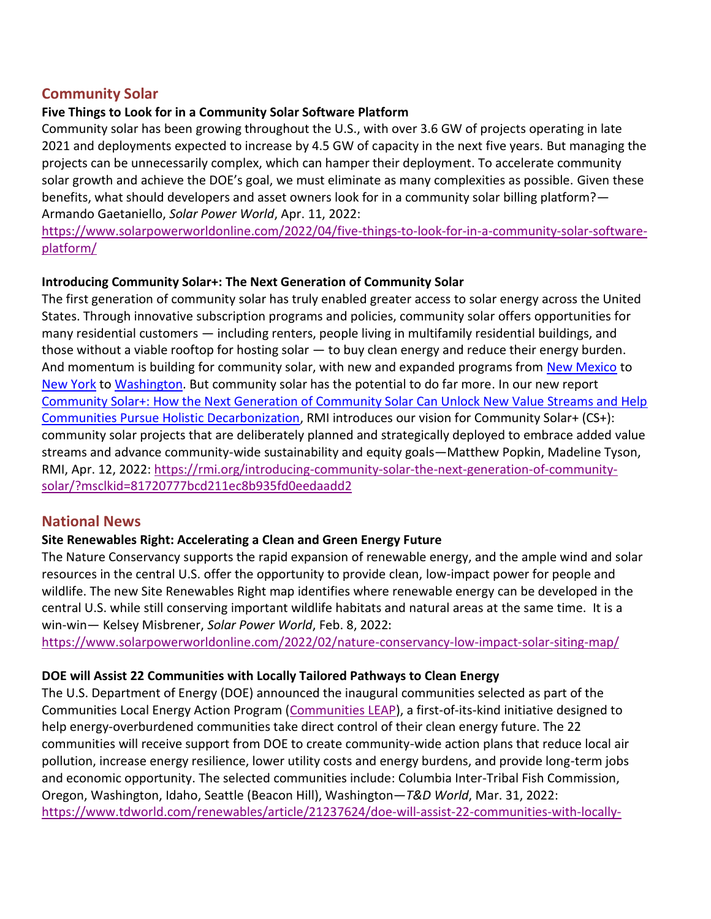# **Community Solar**

### **Five Things to Look for in a Community Solar Software Platform**

Community solar has been growing throughout the U.S., with over 3.6 GW of projects operating in late 2021 and deployments expected to increase by 4.5 GW of capacity in the next five years. But managing the projects can be unnecessarily complex, which can hamper their deployment. To accelerate community solar growth and achieve the DOE's goal, we must eliminate as many complexities as possible. Given these benefits, what should developers and asset owners look for in a community solar billing platform?— Armando Gaetaniello, *Solar Power World*, Apr. 11, 2022:

[https://www.solarpowerworldonline.com/2022/04/five-things-to-look-for-in-a-community-solar-software](https://www.solarpowerworldonline.com/2022/04/five-things-to-look-for-in-a-community-solar-software-platform/)[platform/](https://www.solarpowerworldonline.com/2022/04/five-things-to-look-for-in-a-community-solar-software-platform/)

### **Introducing Community Solar+: The Next Generation of Community Solar**

The first generation of community solar has truly enabled greater access to solar energy across the United States. Through innovative subscription programs and policies, community solar offers opportunities for many residential customers — including renters, people living in multifamily residential buildings, and those without a viable rooftop for hosting solar — to buy clean energy and reduce their energy burden. And momentum is building for community solar, with new and expanded programs from [New Mexico](https://pv-magazine-usa.com/2022/01/07/new-mexico-community-solar-act-receives-public-comment/) to [New York](https://pv-magazine-usa.com/2022/01/07/new-mexico-community-solar-act-receives-public-comment/) to [Washington.](https://www.solarpowerworldonline.com/2022/04/governor-jay-inslee-signs-washington-bill-community-solar-program/) But community solar has the potential to do far more. In our new report [Community Solar+: How the Next Generation of Community Solar Can Unlock New Value Streams and Help](https://rmi.org/insight/community-solar-plus/)  [Communities Pursue Holistic Decarbonization,](https://rmi.org/insight/community-solar-plus/) RMI introduces our vision for Community Solar+ (CS+): community solar projects that are deliberately planned and strategically deployed to embrace added value streams and advance community-wide sustainability and equity goals—Matthew Popkin, Madeline Tyson, RMI, Apr. 12, 2022: [https://rmi.org/introducing-community-solar-the-next-generation-of-community](https://rmi.org/introducing-community-solar-the-next-generation-of-community-solar/?msclkid=81720777bcd211ec8b935fd0eedaadd2)[solar/?msclkid=81720777bcd211ec8b935fd0eedaadd2](https://rmi.org/introducing-community-solar-the-next-generation-of-community-solar/?msclkid=81720777bcd211ec8b935fd0eedaadd2)

# **National News**

# **Site Renewables Right: Accelerating a Clean and Green Energy Future**

The Nature Conservancy supports the rapid expansion of renewable energy, and the ample wind and solar resources in the central U.S. offer the opportunity to provide clean, low-impact power for people and wildlife. The new Site Renewables Right map identifies where renewable energy can be developed in the central U.S. while still conserving important wildlife habitats and natural areas at the same time. It is a win-win— Kelsey Misbrener, *Solar Power World*, Feb. 8, 2022:

<https://www.solarpowerworldonline.com/2022/02/nature-conservancy-low-impact-solar-siting-map/>

# **DOE will Assist 22 Communities with Locally Tailored Pathways to Clean Energy**

The U.S. Department of Energy (DOE) announced the inaugural communities selected as part of the Communities Local Energy Action Program [\(Communities LEAP\)](https://www.energy.gov/communitiesLEAP/communities-leap), a first-of-its-kind initiative designed to help energy-overburdened communities take direct control of their clean energy future. The 22 communities will receive support from DOE to create community-wide action plans that reduce local air pollution, increase energy resilience, lower utility costs and energy burdens, and provide long-term jobs and economic opportunity. The selected communities include: Columbia Inter-Tribal Fish Commission, Oregon, Washington, Idaho, Seattle (Beacon Hill), Washington—*T&D World*, Mar. 31, 2022: [https://www.tdworld.com/renewables/article/21237624/doe-will-assist-22-communities-with-locally-](https://www.tdworld.com/renewables/article/21237624/doe-will-assist-22-communities-with-locally-tailored-pathways-to-clean-energy)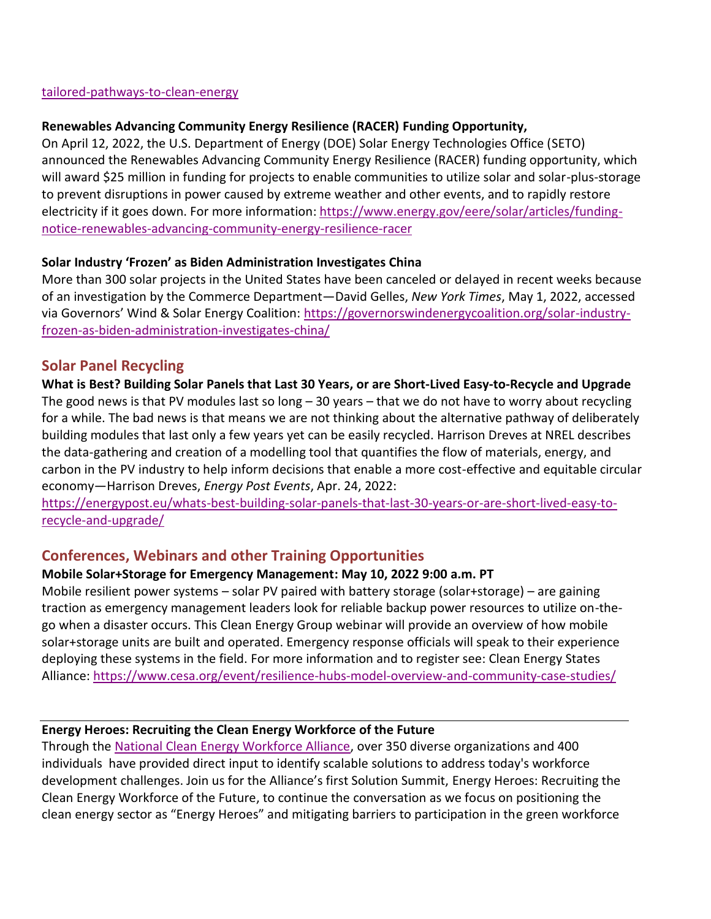#### [tailored-pathways-to-clean-energy](https://www.tdworld.com/renewables/article/21237624/doe-will-assist-22-communities-with-locally-tailored-pathways-to-clean-energy)

#### **Renewables Advancing Community Energy Resilience (RACER) Funding Opportunity,**

On April 12, 2022, the U.S. Department of Energy (DOE) Solar Energy Technologies Office (SETO) announced the Renewables Advancing Community Energy Resilience (RACER) funding opportunity, which will award \$25 million in funding for projects to enable communities to utilize solar and solar-plus-storage to prevent disruptions in power caused by extreme weather and other events, and to rapidly restore electricity if it goes down. For more information: [https://www.energy.gov/eere/solar/articles/funding](https://www.energy.gov/eere/solar/articles/funding-notice-renewables-advancing-community-energy-resilience-racer)[notice-renewables-advancing-community-energy-resilience-racer](https://www.energy.gov/eere/solar/articles/funding-notice-renewables-advancing-community-energy-resilience-racer)

#### **Solar Industry 'Frozen' as Biden Administration Investigates China**

More than 300 solar projects in the United States have been canceled or delayed in recent weeks because of an investigation by the Commerce Department—David Gelles, *New York Times*, May 1, 2022, accessed via Governors' Wind & Solar Energy Coalition: [https://governorswindenergycoalition.org/solar-industry](https://governorswindenergycoalition.org/solar-industry-frozen-as-biden-administration-investigates-china/)[frozen-as-biden-administration-investigates-china/](https://governorswindenergycoalition.org/solar-industry-frozen-as-biden-administration-investigates-china/)

### **Solar Panel Recycling**

**What is Best? Building Solar Panels that Last 30 Years, or are Short-Lived Easy-to-Recycle and Upgrade** The good news is that PV modules last so long – 30 years – that we do not have to worry about recycling for a while. The bad news is that means we are not thinking about the alternative pathway of deliberately building modules that last only a few years yet can be easily recycled. Harrison Dreves at NREL describes the data-gathering and creation of a modelling tool that quantifies the flow of materials, energy, and carbon in the PV industry to help inform decisions that enable a more cost-effective and equitable circular economy—Harrison Dreves, *Energy Post Events*, Apr. 24, 2022:

[https://energypost.eu/whats-best-building-solar-panels-that-last-30-years-or-are-short-lived-easy-to](https://energypost.eu/whats-best-building-solar-panels-that-last-30-years-or-are-short-lived-easy-to-recycle-and-upgrade/)[recycle-and-upgrade/](https://energypost.eu/whats-best-building-solar-panels-that-last-30-years-or-are-short-lived-easy-to-recycle-and-upgrade/)

# **Conferences, Webinars and other Training Opportunities**

#### **Mobile Solar+Storage for Emergency Management: May 10, 2022 9:00 a.m. PT**

Mobile resilient power systems – solar PV paired with battery storage (solar+storage) – are gaining traction as emergency management leaders look for reliable backup power resources to utilize on-thego when a disaster occurs. This Clean Energy Group webinar will provide an overview of how mobile solar+storage units are built and operated. Emergency response officials will speak to their experience deploying these systems in the field. For more information and to register see: Clean Energy States Alliance: <https://www.cesa.org/event/resilience-hubs-model-overview-and-community-case-studies/>

#### **Energy Heroes: Recruiting the Clean Energy Workforce of the Future**

Through the [National Clean Energy Workforce Alliance,](https://go.irecusa.org/e/889833/ean-energy-workforce-alliance-/c24yz/208833917?h=5GdRF6f7VKAaj-D5sHv5krXuqPy180ewwoBlChCFP6g) over 350 diverse organizations and 400 individuals have provided direct input to identify scalable solutions to address today's workforce development challenges. Join us for the Alliance's first Solution Summit, Energy Heroes: Recruiting the Clean Energy Workforce of the Future, to continue the conversation as we focus on positioning the clean energy sector as "Energy Heroes" and mitigating barriers to participation in the green workforce